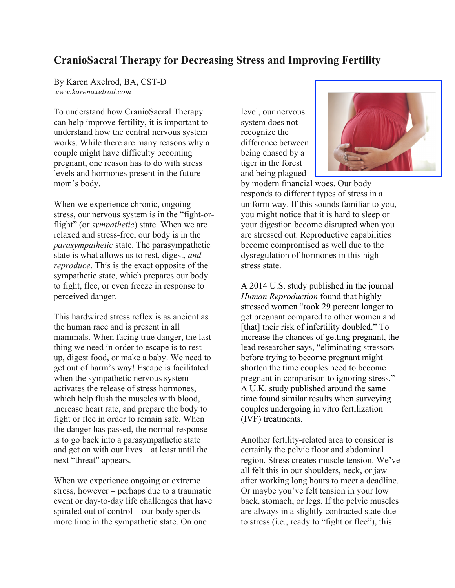## **CranioSacral Therapy for Decreasing Stress and Improving Fertility**

By Karen Axelrod, BA, CST-D *www.karenaxelrod.com*

To understand how CranioSacral Therapy can help improve fertility, it is important to understand how the central nervous system works. While there are many reasons why a couple might have difficulty becoming pregnant, one reason has to do with stress levels and hormones present in the future mom's body.

When we experience chronic, ongoing stress, our nervous system is in the "fight-orflight" (or *sympathetic*) state. When we are relaxed and stress-free, our body is in the *parasympathetic* state. The parasympathetic state is what allows us to rest, digest, *and reproduce*. This is the exact opposite of the sympathetic state, which prepares our body to fight, flee, or even freeze in response to perceived danger.

This hardwired stress reflex is as ancient as the human race and is present in all mammals. When facing true danger, the last thing we need in order to escape is to rest up, digest food, or make a baby. We need to get out of harm's way! Escape is facilitated when the sympathetic nervous system activates the release of stress hormones, which help flush the muscles with blood, increase heart rate, and prepare the body to fight or flee in order to remain safe. When the danger has passed, the normal response is to go back into a parasympathetic state and get on with our lives – at least until the next "threat" appears.

When we experience ongoing or extreme stress, however – perhaps due to a traumatic event or day-to-day life challenges that have spiraled out of control – our body spends more time in the sympathetic state. On one

level, our nervous system does not recognize the difference between being chased by a tiger in the forest and being plagued



by modern financial woes. Our body responds to different types of stress in a uniform way. If this sounds familiar to you, you might notice that it is hard to sleep or your digestion become disrupted when you are stressed out. Reproductive capabilities become compromised as well due to the dysregulation of hormones in this highstress state.

A 2014 U.S. study published in the journal *Human Reproduction* found that highly stressed women "took 29 percent longer to get pregnant compared to other women and [that] their risk of infertility doubled." To increase the chances of getting pregnant, the lead researcher says, "eliminating stressors before trying to become pregnant might shorten the time couples need to become pregnant in comparison to ignoring stress." A U.K. study published around the same time found similar results when surveying couples undergoing in vitro fertilization (IVF) treatments.

Another fertility-related area to consider is certainly the pelvic floor and abdominal region. Stress creates muscle tension. We've all felt this in our shoulders, neck, or jaw after working long hours to meet a deadline. Or maybe you've felt tension in your low back, stomach, or legs. If the pelvic muscles are always in a slightly contracted state due to stress (i.e., ready to "fight or flee"), this